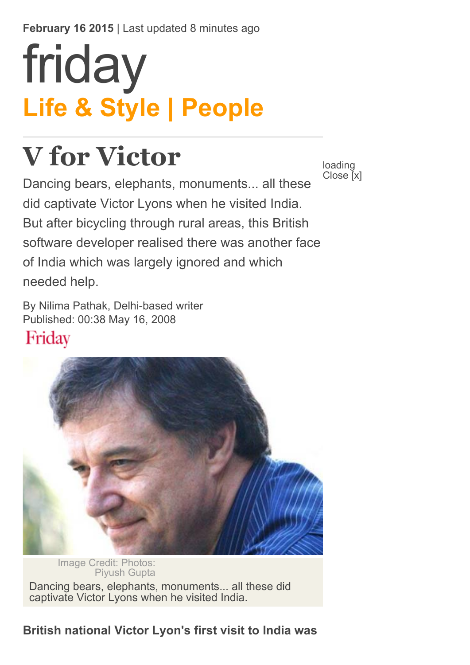February 16 2015 | Last updated 8 minutes ago

# Life & Style | People [friday](http://gulfnews.com/about-gulf-news/al-nisr-portfolio/friday)

## V for Victor

Dancing bears, elephants, monuments... all these did captivate Victor Lyons when he visited India. But after bicycling through rural areas, this British software developer realised there was another face of India which was largely ignored and which needed help.

By Nilima Pathak, Delhi-based writer Published: 00:38 May 16, 2008 Friday



Piyush Gupta Dancing bears, elephants, monuments... all these did captivate Victor Lyons when he visited India.

### British national Victor Lyon's first visit to India was

loading Close [x]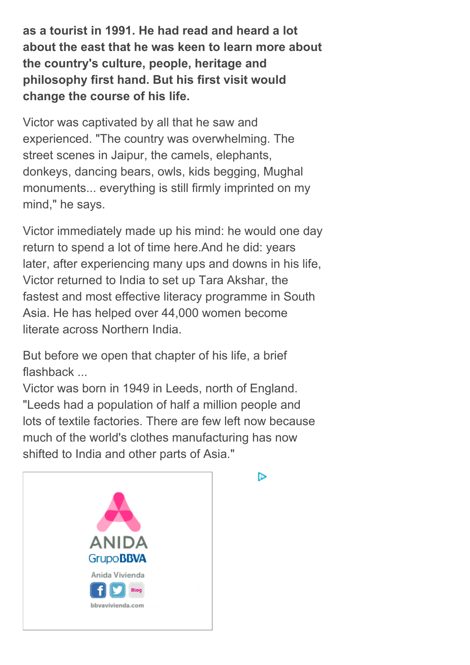as a tourist in 1991. He had read and heard a lot about the east that he was keen to learn more about the country's culture, people, heritage and philosophy first hand. But his first visit would change the course of his life.

Victor was captivated by all that he saw and experienced. "The country was overwhelming. The street scenes in Jaipur, the camels, elephants, donkeys, dancing bears, owls, kids begging, Mughal monuments... everything is still firmly imprinted on my mind," he says.

Victor immediately made up his mind: he would one day return to spend a lot of time here.And he did: years later, after experiencing many ups and downs in his life, Victor returned to India to set up Tara Akshar, the fastest and most effective literacy programme in South Asia. He has helped over 44,000 women become literate across Northern India.

But before we open that chapter of his life, a brief flashback ...

Victor was born in 1949 in Leeds, north of England. "Leeds had a population of half a million people and lots of textile factories. There are few left now because much of the world's clothes manufacturing has now shifted to India and other parts of Asia."



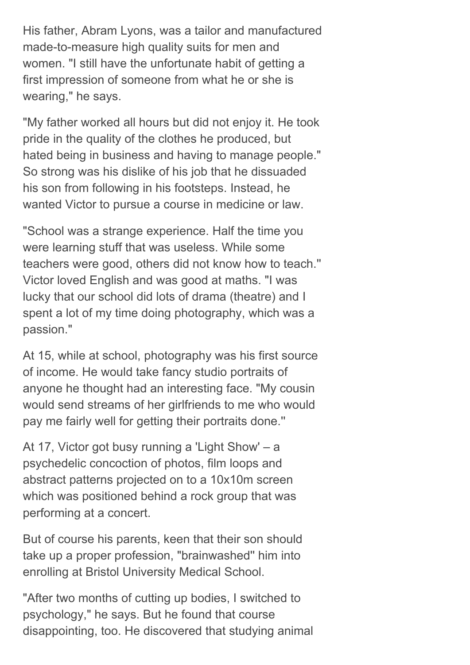His father, Abram Lyons, was a tailor and manufactured made-to-measure high quality suits for men and women. "I still have the unfortunate habit of getting a first impression of someone from what he or she is wearing," he says.

"My father worked all hours but did not enjoy it. He took pride in the quality of the clothes he produced, but hated being in business and having to manage people." So strong was his dislike of his job that he dissuaded his son from following in his footsteps. Instead, he wanted Victor to pursue a course in medicine or law.

"School was a strange experience. Half the time you were learning stuff that was useless. While some teachers were good, others did not know how to teach.'' Victor loved English and was good at maths. "I was lucky that our school did lots of drama (theatre) and I spent a lot of my time doing photography, which was a passion."

At 15, while at school, photography was his first source of income. He would take fancy studio portraits of anyone he thought had an interesting face. "My cousin would send streams of her girlfriends to me who would pay me fairly well for getting their portraits done.''

At 17, Victor got busy running a 'Light Show' – a psychedelic concoction of photos, film loops and abstract patterns projected on to a 10x10m screen which was positioned behind a rock group that was performing at a concert.

But of course his parents, keen that their son should take up a proper profession, "brainwashed'' him into enrolling at Bristol University Medical School.

"After two months of cutting up bodies, I switched to psychology," he says. But he found that course disappointing, too. He discovered that studying animal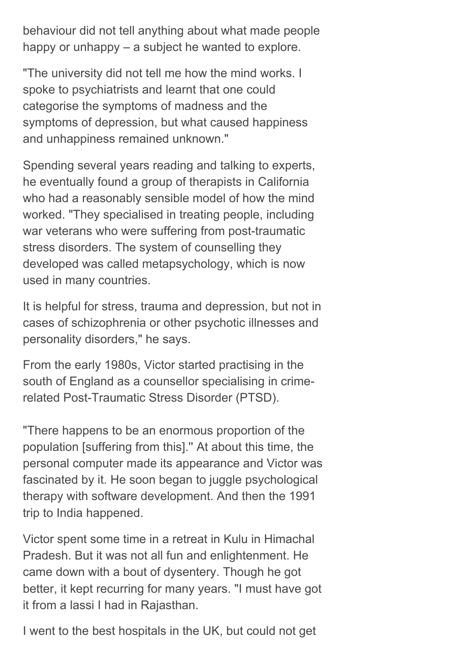behaviour did not tell anything about what made people happy or unhappy – a subject he wanted to explore.

"The university did not tell me how the mind works. I spoke to psychiatrists and learnt that one could categorise the symptoms of madness and the symptoms of depression, but what caused happiness and unhappiness remained unknown."

Spending several years reading and talking to experts, he eventually found a group of therapists in California who had a reasonably sensible model of how the mind worked. "They specialised in treating people, including war veterans who were suffering from post-traumatic stress disorders. The system of counselling they developed was called metapsychology, which is now used in many countries.

It is helpful for stress, trauma and depression, but not in cases of schizophrenia or other psychotic illnesses and personality disorders," he says.

From the early 1980s, Victor started practising in the south of England as a counsellor specialising in crimerelated Post-Traumatic Stress Disorder (PTSD).

"There happens to be an enormous proportion of the population [suffering from this].'' At about this time, the personal computer made its appearance and Victor was fascinated by it. He soon began to juggle psychological therapy with software development. And then the 1991 trip to India happened.

Victor spent some time in a retreat in Kulu in Himachal Pradesh. But it was not all fun and enlightenment. He came down with a bout of dysentery. Though he got better, it kept recurring for many years. "I must have got it from a lassi I had in Rajasthan.

I went to the best hospitals in the UK, but could not get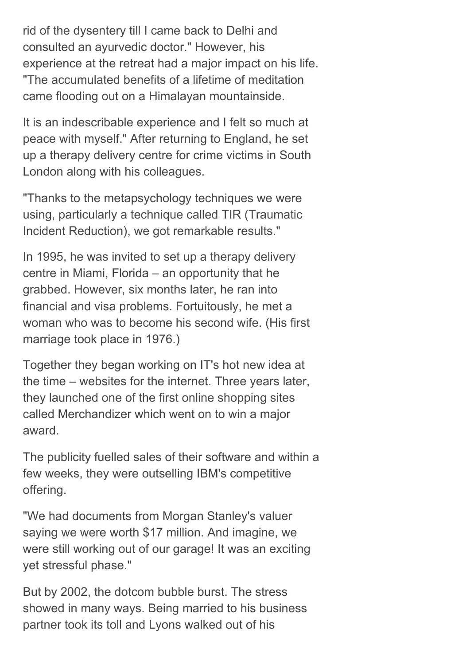rid of the dysentery till I came back to Delhi and consulted an ayurvedic doctor." However, his experience at the retreat had a major impact on his life. "The accumulated benefits of a lifetime of meditation came flooding out on a Himalayan mountainside.

It is an indescribable experience and I felt so much at peace with myself." After returning to England, he set up a therapy delivery centre for crime victims in South London along with his colleagues.

"Thanks to the metapsychology techniques we were using, particularly a technique called TIR (Traumatic Incident Reduction), we got remarkable results."

In 1995, he was invited to set up a therapy delivery centre in Miami, Florida – an opportunity that he grabbed. However, six months later, he ran into financial and visa problems. Fortuitously, he met a woman who was to become his second wife. (His first marriage took place in 1976.)

Together they began working on IT's hot new idea at the time – websites for the internet. Three years later, they launched one of the first online shopping sites called Merchandizer which went on to win a major award.

The publicity fuelled sales of their software and within a few weeks, they were outselling IBM's competitive offering.

"We had documents from Morgan Stanley's valuer saying we were worth \$17 million. And imagine, we were still working out of our garage! It was an exciting yet stressful phase."

But by 2002, the dotcom bubble burst. The stress showed in many ways. Being married to his business partner took its toll and Lyons walked out of his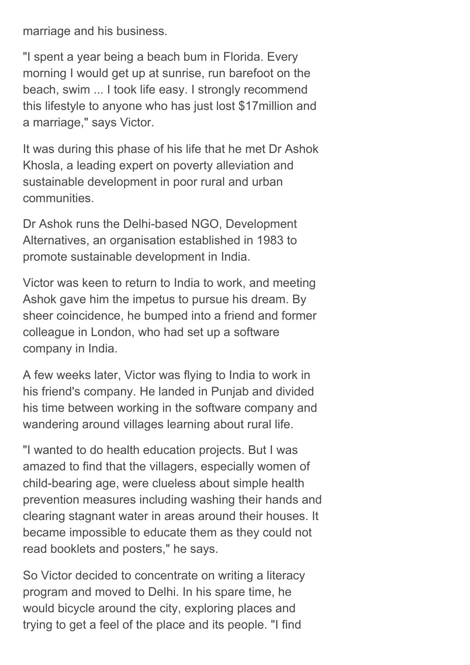marriage and his business.

"I spent a year being a beach bum in Florida. Every morning I would get up at sunrise, run barefoot on the beach, swim ... I took life easy. I strongly recommend this lifestyle to anyone who has just lost \$17million and a marriage," says Victor.

It was during this phase of his life that he met Dr Ashok Khosla, a leading expert on poverty alleviation and sustainable development in poor rural and urban communities.

Dr Ashok runs the Delhi-based NGO, Development Alternatives, an organisation established in 1983 to promote sustainable development in India.

Victor was keen to return to India to work, and meeting Ashok gave him the impetus to pursue his dream. By sheer coincidence, he bumped into a friend and former colleague in London, who had set up a software company in India.

A few weeks later, Victor was flying to India to work in his friend's company. He landed in Punjab and divided his time between working in the software company and wandering around villages learning about rural life.

"I wanted to do health education projects. But I was amazed to find that the villagers, especially women of child-bearing age, were clueless about simple health prevention measures including washing their hands and clearing stagnant water in areas around their houses. It became impossible to educate them as they could not read booklets and posters," he says.

So Victor decided to concentrate on writing a literacy program and moved to Delhi. In his spare time, he would bicycle around the city, exploring places and trying to get a feel of the place and its people. "I find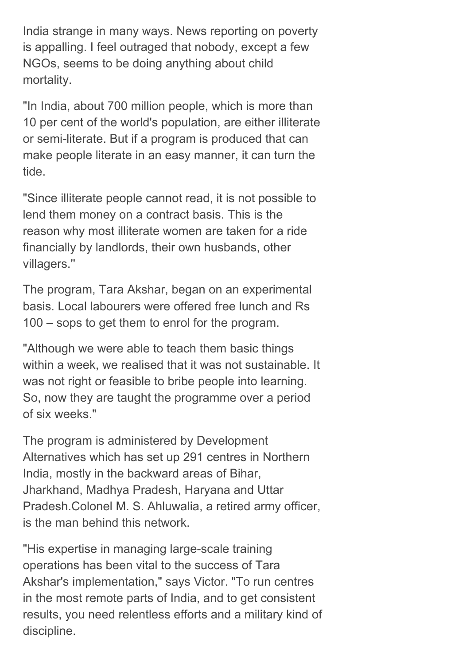India strange in many ways. News reporting on poverty is appalling. I feel outraged that nobody, except a few NGOs, seems to be doing anything about child mortality.

"In India, about 700 million people, which is more than 10 per cent of the world's population, are either illiterate or semi-literate. But if a program is produced that can make people literate in an easy manner, it can turn the tide.

"Since illiterate people cannot read, it is not possible to lend them money on a contract basis. This is the reason why most illiterate women are taken for a ride financially by landlords, their own husbands, other villagers.''

The program, Tara Akshar, began on an experimental basis. Local labourers were offered free lunch and Rs 100 – sops to get them to enrol for the program.

"Although we were able to teach them basic things within a week, we realised that it was not sustainable. It was not right or feasible to bribe people into learning. So, now they are taught the programme over a period of six weeks."

The program is administered by Development Alternatives which has set up 291 centres in Northern India, mostly in the backward areas of Bihar, Jharkhand, Madhya Pradesh, Haryana and Uttar Pradesh.Colonel M. S. Ahluwalia, a retired army officer, is the man behind this network.

"His expertise in managing large-scale training operations has been vital to the success of Tara Akshar's implementation," says Victor. "To run centres in the most remote parts of India, and to get consistent results, you need relentless efforts and a military kind of discipline.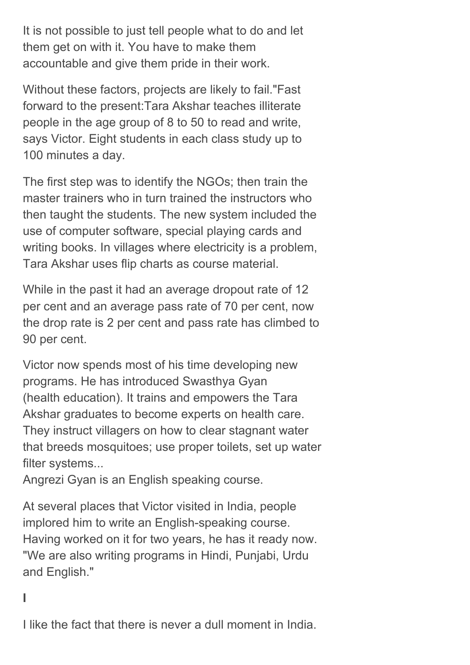It is not possible to just tell people what to do and let them get on with it. You have to make them accountable and give them pride in their work.

Without these factors, projects are likely to fail."Fast forward to the present:Tara Akshar teaches illiterate people in the age group of 8 to 50 to read and write, says Victor. Eight students in each class study up to 100 minutes a day.

The first step was to identify the NGOs; then train the master trainers who in turn trained the instructors who then taught the students. The new system included the use of computer software, special playing cards and writing books. In villages where electricity is a problem, Tara Akshar uses flip charts as course material.

While in the past it had an average dropout rate of 12 per cent and an average pass rate of 70 per cent, now the drop rate is 2 per cent and pass rate has climbed to 90 per cent.

Victor now spends most of his time developing new programs. He has introduced Swasthya Gyan (health education). It trains and empowers the Tara Akshar graduates to become experts on health care. They instruct villagers on how to clear stagnant water that breeds mosquitoes; use proper toilets, set up water filter systems...

Angrezi Gyan is an English speaking course.

At several places that Victor visited in India, people implored him to write an English-speaking course. Having worked on it for two years, he has it ready now. "We are also writing programs in Hindi, Punjabi, Urdu and English."

#### I

I like the fact that there is never a dull moment in India.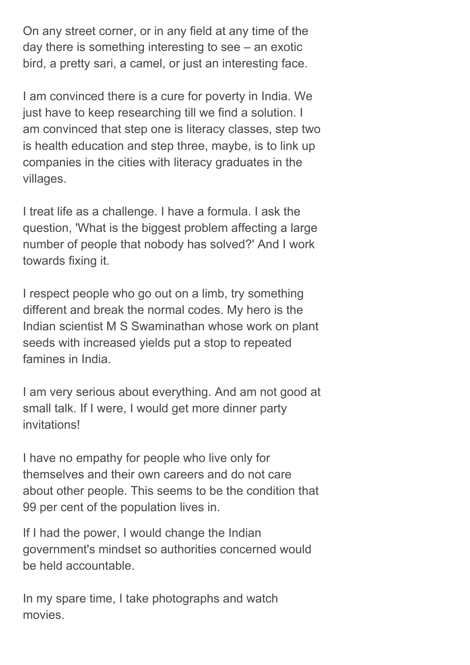On any street corner, or in any field at any time of the day there is something interesting to see – an exotic bird, a pretty sari, a camel, or just an interesting face.

I am convinced there is a cure for poverty in India. We just have to keep researching till we find a solution. I am convinced that step one is literacy classes, step two is health education and step three, maybe, is to link up companies in the cities with literacy graduates in the villages.

I treat life as a challenge. I have a formula. I ask the question, 'What is the biggest problem affecting a large number of people that nobody has solved?' And I work towards fixing it.

I respect people who go out on a limb, try something different and break the normal codes. My hero is the Indian scientist M S Swaminathan whose work on plant seeds with increased yields put a stop to repeated famines in India.

I am very serious about everything. And am not good at small talk. If I were, I would get more dinner party invitations!

I have no empathy for people who live only for themselves and their own careers and do not care about other people. This seems to be the condition that 99 per cent of the population lives in.

If I had the power, I would change the Indian government's mindset so authorities concerned would be held accountable.

In my spare time, I take photographs and watch movies.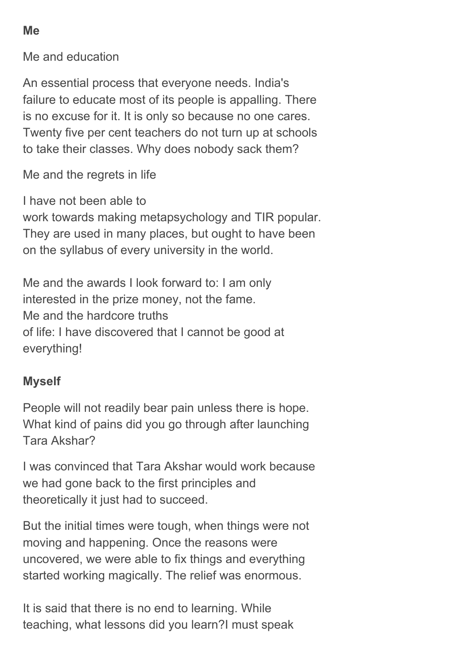Me

Me and education

An essential process that everyone needs. India's failure to educate most of its people is appalling. There is no excuse for it. It is only so because no one cares. Twenty five per cent teachers do not turn up at schools to take their classes. Why does nobody sack them?

Me and the regrets in life

I have not been able to

work towards making metapsychology and TIR popular. They are used in many places, but ought to have been on the syllabus of every university in the world.

Me and the awards I look forward to: I am only interested in the prize money, not the fame. Me and the hardcore truths of life: I have discovered that I cannot be good at everything!

#### Myself

People will not readily bear pain unless there is hope. What kind of pains did you go through after launching Tara Akshar?

I was convinced that Tara Akshar would work because we had gone back to the first principles and theoretically it just had to succeed.

But the initial times were tough, when things were not moving and happening. Once the reasons were uncovered, we were able to fix things and everything started working magically. The relief was enormous.

It is said that there is no end to learning. While teaching, what lessons did you learn?I must speak